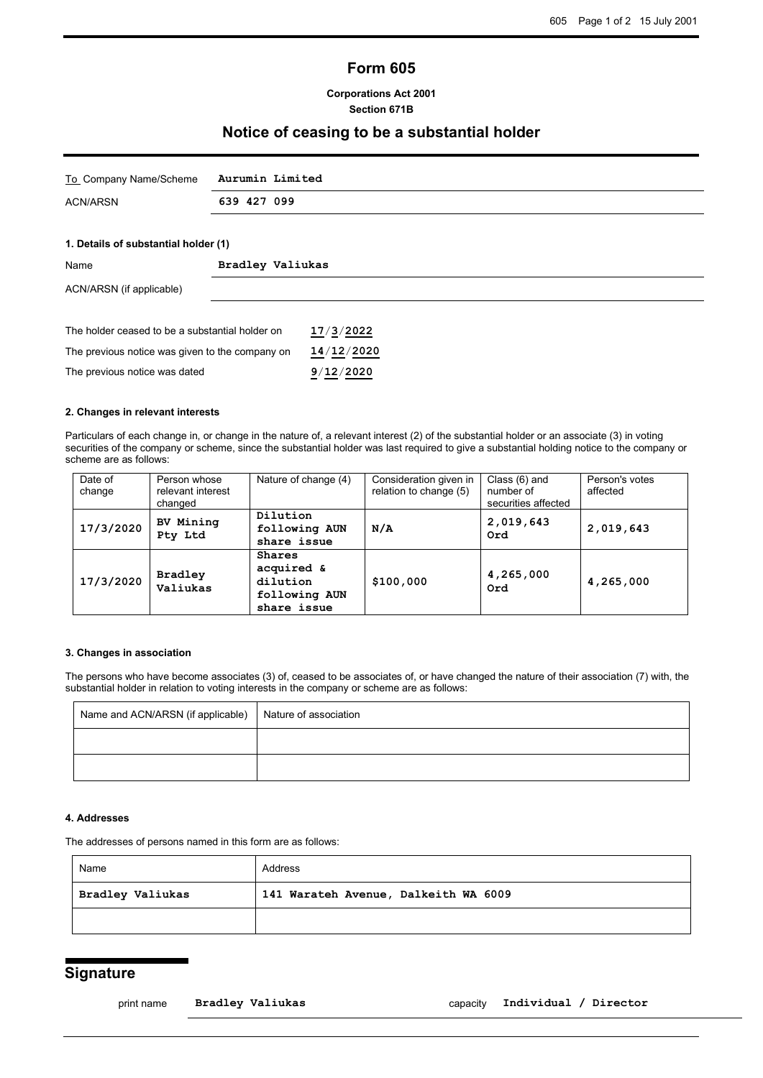# **Form 605**

### **Corporations Act 2001 Section 671B**

## **Notice of ceasing to be a substantial holder**

| To Company Name/Scheme Aurumin Limited |             |
|----------------------------------------|-------------|
| ACN/ARSN                               | 639 427 099 |
|                                        |             |

#### **1. Details of substantial holder (1)**

| Name                                            | Bradley Valiukas |            |  |  |
|-------------------------------------------------|------------------|------------|--|--|
| ACN/ARSN (if applicable)                        |                  |            |  |  |
|                                                 |                  |            |  |  |
| The holder ceased to be a substantial holder on |                  | 17/3/2022  |  |  |
| The previous notice was given to the company on |                  | 14/12/2020 |  |  |
| The previous notice was dated                   |                  | 9/12/2020  |  |  |

## **2. Changes in relevant interests**

Particulars of each change in, or change in the nature of, a relevant interest (2) of the substantial holder or an associate (3) in voting securities of the company or scheme, since the substantial holder was last required to give a substantial holding notice to the company or scheme are as follows:

| Date of<br>change | Person whose<br>relevant interest<br>changed | Nature of change (4)                                             | Consideration given in<br>relation to change (5) | Class (6) and<br>number of<br>securities affected | Person's votes<br>affected |
|-------------------|----------------------------------------------|------------------------------------------------------------------|--------------------------------------------------|---------------------------------------------------|----------------------------|
| 17/3/2020         | BV Mining<br>Pty Ltd                         | Dilution<br>following AUN<br>share issue                         | N/A                                              | 2,019,643<br>Ord                                  | 2,019,643                  |
| 17/3/2020         | <b>Bradley</b><br>Valiukas                   | Shares<br>acquired &<br>dilution<br>following AUN<br>share issue | \$100,000                                        | 4,265,000<br>Ord                                  | 4,265,000                  |

#### **3. Changes in association**

The persons who have become associates (3) of, ceased to be associates of, or have changed the nature of their association (7) with, the substantial holder in relation to voting interests in the company or scheme are as follows:

| Name and ACN/ARSN (if applicable) | Nature of association |
|-----------------------------------|-----------------------|
|                                   |                       |
|                                   |                       |

### **4. Addresses**

The addresses of persons named in this form are as follows:

| Name             | Address                              |  |
|------------------|--------------------------------------|--|
| Bradley Valiukas | 141 Warateh Avenue, Dalkeith WA 6009 |  |
|                  |                                      |  |

## **Signature**